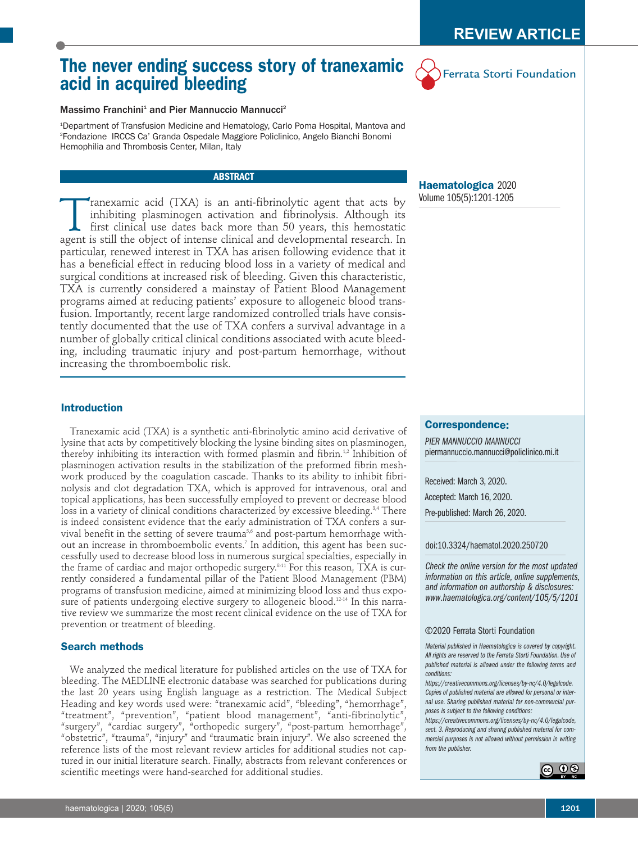# **The never ending success story of tranexamic acid in acquired bleeding**



# Massimo Franchini<sup>1</sup> and Pier Mannuccio Mannucci<sup>2</sup>

1 Department of Transfusion Medicine and Hematology, Carlo Poma Hospital, Mantova and 2 Fondazione IRCCS Ca' Granda Ospedale Maggiore Policlinico, Angelo Bianchi Bonomi Hemophilia and Thrombosis Center, Milan, Italy

### **ABSTRACT**

Tranexamic acid (TXA) is an anti-fibrinolytic agent that acts by<br>inhibiting plasminogen activation and fibrinolysis. Although its<br>first clinical use dates back more than 50 years, this hemostatic<br>agent is still the object inhibiting plasminogen activation and fibrinolysis. Although its first clinical use dates back more than 50 years, this hemostatic agent is still the object of intense clinical and developmental research. In particular, renewed interest in TXA has arisen following evidence that it has a beneficial effect in reducing blood loss in a variety of medical and surgical conditions at increased risk of bleeding. Given this characteristic, TXA is currently considered a mainstay of Patient Blood Management programs aimed at reducing patients' exposure to allogeneic blood transfusion. Importantly, recent large randomized controlled trials have consistently documented that the use of TXA confers a survival advantage in a number of globally critical clinical conditions associated with acute bleeding, including traumatic injury and post-partum hemorrhage, without increasing the thromboembolic risk.

# **Haematologica** 2020 Volume 105(5):1201-1205

# **Introduction**

Tranexamic acid (TXA) is a synthetic anti-fibrinolytic amino acid derivative of lysine that acts by competitively blocking the lysine binding sites on plasminogen, thereby inhibiting its interaction with formed plasmin and fibrin.<sup>1,2</sup> Inhibition of plasminogen activation results in the stabilization of the preformed fibrin meshwork produced by the coagulation cascade. Thanks to its ability to inhibit fibrinolysis and clot degradation TXA, which is approved for intravenous, oral and topical applications, has been successfully employed to prevent or decrease blood loss in a variety of clinical conditions characterized by excessive bleeding.<sup>3,4</sup> There is indeed consistent evidence that the early administration of TXA confers a survival benefit in the setting of severe trauma<sup>5,6</sup> and post-partum hemorrhage without an increase in thromboembolic events. <sup>7</sup> In addition, this agent has been successfully used to decrease blood loss in numerous surgical specialties, especially in the frame of cardiac and major orthopedic surgery. 8-11 For this reason, TXA is currently considered a fundamental pillar of the Patient Blood Management (PBM) programs of transfusion medicine, aimed at minimizing blood loss and thus exposure of patients undergoing elective surgery to allogeneic blood. 12-14 In this narrative review we summarize the most recent clinical evidence on the use of TXA for prevention or treatment of bleeding.

## **Search methods**

We analyzed the medical literature for published articles on the use of TXA for bleeding. The MEDLINE electronic database was searched for publications during the last 20 years using English language as a restriction. The Medical Subject Heading and key words used were: "tranexamic acid", "bleeding", "hemorrhage", "treatment", "prevention", "patient blood management", "anti-fibrinolytic", "surgery", "cardiac surgery", "orthopedic surgery", "post-partum hemorrhage", "obstetric", "trauma", "injury" and "traumatic brain injury". We also screened the reference lists of the most relevant review articles for additional studies not captured in our initial literature search. Finally, abstracts from relevant conferences or scientific meetings were hand-searched for additional studies.

#### **Correspondence:**

*PIER MANNUCCIO MANNUCCI* piermannuccio.mannucci@policlinico.mi.it

Received: March 3, 2020.

Accepted: March 16, 2020.

Pre-published: March 26, 2020.

#### doi:10.3324/haematol.2020.250720

*Check the online version for the most updated information on this article, online supplements, and information on authorship & disclosures: www.haematologica.org/content/105/5/1201*

#### ©2020 Ferrata Storti Foundation

*Material published in Haematologica is covered by copyright. All rights are reserved to the Ferrata Storti Foundation. Use of published material is allowed under the following terms and conditions:*

*https://creativecommons.org/licenses/by-nc/4.0/legalcode. Copies of published material are allowed for personal or internal use. Sharing published material for non-commercial purposes is subject to the following conditions:*

*https://creativecommons.org/licenses/by-nc/4.0/legalcode, sect. 3. Reproducing and sharing published material for commercial purposes is not allowed without permission in writing from the publisher.*

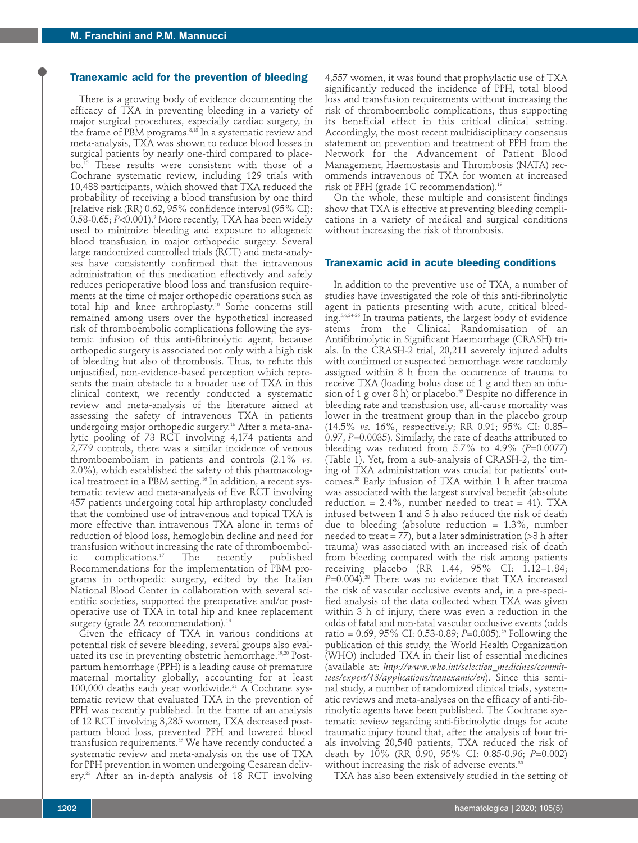# **Tranexamic acid for the prevention of bleeding**

There is a growing body of evidence documenting the efficacy of TXA in preventing bleeding in a variety of major surgical procedures, especially cardiac surgery, in the frame of PBM programs. 8,13 In a systematic review and meta-analysis, TXA was shown to reduce blood losses in surgical patients by nearly one-third compared to placebo. <sup>15</sup> These results were consistent with those of a Cochrane systematic review, including 129 trials with 10,488 participants, which showed that TXA reduced the probability of receiving a blood transfusion by one third [relative risk (RR) 0.62, 95% confidence interval (95% CI): 0.58-0.65; *P*<0.001). <sup>9</sup> More recently, TXA has been widely used to minimize bleeding and exposure to allogeneic blood transfusion in major orthopedic surgery. Several large randomized controlled trials (RCT) and meta-analyses have consistently confirmed that the intravenous administration of this medication effectively and safely reduces perioperative blood loss and transfusion requirements at the time of major orthopedic operations such as total hip and knee arthroplasty. <sup>10</sup> Some concerns still remained among users over the hypothetical increased risk of thromboembolic complications following the systemic infusion of this anti-fibrinolytic agent, because orthopedic surgery is associated not only with a high risk of bleeding but also of thrombosis. Thus, to refute this unjustified, non-evidence-based perception which represents the main obstacle to a broader use of TXA in this clinical context, we recently conducted a systematic review and meta-analysis of the literature aimed at assessing the safety of intravenous TXA in patients undergoing major orthopedic surgery. <sup>16</sup> After a meta-analytic pooling of 73 RCT involving 4,174 patients and 2,779 controls, there was a similar incidence of venous thromboembolism in patients and controls (2.1% *vs.* 2.0%), which established the safety of this pharmacological treatment in a PBM setting. <sup>16</sup> In addition, a recent systematic review and meta-analysis of five RCT involving 457 patients undergoing total hip arthroplasty concluded that the combined use of intravenous and topical TXA is more effective than intravenous TXA alone in terms of reduction of blood loss, hemoglobin decline and need for transfusion without increasing the rate of thromboembolic complications. The recently published Recommendations for the implementation of PBM programs in orthopedic surgery, edited by the Italian National Blood Center in collaboration with several scientific societies, supported the preoperative and/or postoperative use of TXA in total hip and knee replacement surgery (grade 2A recommendation). 18

Given the efficacy of TXA in various conditions at potential risk of severe bleeding, several groups also evaluated its use in preventing obstetric hemorrhage. 19,20 Postpartum hemorrhage (PPH) is a leading cause of premature maternal mortality globally, accounting for at least 100,000 deaths each year worldwide. <sup>21</sup> A Cochrane systematic review that evaluated TXA in the prevention of PPH was recently published. In the frame of an analysis of 12 RCT involving 3,285 women, TXA decreased postpartum blood loss, prevented PPH and lowered blood transfusion requirements. <sup>22</sup> We have recently conducted a systematic review and meta-analysis on the use of TXA for PPH prevention in women undergoing Cesarean delivery. <sup>23</sup> After an in-depth analysis of 18 RCT involving

4,557 women, it was found that prophylactic use of TXA significantly reduced the incidence of PPH, total blood loss and transfusion requirements without increasing the risk of thromboembolic complications, thus supporting its beneficial effect in this critical clinical setting. Accordingly, the most recent multidisciplinary consensus statement on prevention and treatment of PPH from the Network for the Advancement of Patient Blood Management, Haemostasis and Thrombosis (NATA) recommends intravenous of TXA for women at increased risk of PPH (grade 1C recommendation). 19

On the whole, these multiple and consistent findings show that TXA is effective at preventing bleeding complications in a variety of medical and surgical conditions without increasing the risk of thrombosis.

# **Tranexamic acid in acute bleeding conditions**

In addition to the preventive use of TXA, a number of studies have investigated the role of this anti-fibrinolytic agent in patients presenting with acute, critical bleeding. 5,6,24-26 In trauma patients, the largest body of evidence stems from the Clinical Randomisation of an Antifibrinolytic in Significant Haemorrhage (CRASH) trials. In the CRASH-2 trial, 20,211 severely injured adults with confirmed or suspected hemorrhage were randomly assigned within 8 h from the occurrence of trauma to receive TXA (loading bolus dose of 1 g and then an infusion of 1 g over 8 h) or placebo. <sup>27</sup> Despite no difference in bleeding rate and transfusion use, all-cause mortality was lower in the treatment group than in the placebo group (14.5% *vs.* 16%, respectively; RR 0.91; 95% CI: 0.85– 0.97, *P*=0.0035). Similarly, the rate of deaths attributed to bleeding was reduced from 5.7% to 4.9% (*P*=0.0077) (Table 1). Yet, from a sub-analysis of CRASH-2, the timing of TXA administration was crucial for patients' outcomes. <sup>28</sup> Early infusion of TXA within 1 h after trauma was associated with the largest survival benefit (absolute reduction =  $2.4\%$ , number needed to treat = 41). TXA infused between 1 and 3 h also reduced the risk of death due to bleeding (absolute reduction  $= 1.3\%$ , number needed to treat  $= 77$ ), but a later administration (>3 h after trauma) was associated with an increased risk of death from bleeding compared with the risk among patients receiving placebo (RR 1.44, 95% CI: 1.12–1.84; *P*=0.004). <sup>28</sup> There was no evidence that TXA increased the risk of vascular occlusive events and, in a pre-specified analysis of the data collected when TXA was given within 3 h of injury, there was even a reduction in the odds of fatal and non-fatal vascular occlusive events (odds ratio = 0.69, 95% CI: 0.53-0.89; *P*=0.005). <sup>29</sup> Following the publication of this study, the World Health Organization (WHO) included TXA in their list of essential medicines (available at: *http://www.who.int/selection\_medicines/committees/expert/18/applications/tranexamic/en*). Since this seminal study, a number of randomized clinical trials, systematic reviews and meta-analyses on the efficacy of anti-fibrinolytic agents have been published. The Cochrane systematic review regarding anti-fibrinolytic drugs for acute traumatic injury found that, after the analysis of four trials involving 20,548 patients, TXA reduced the risk of death by 10% (RR 0.90, 95% CI: 0.85-0.96; *P*=0.002) without increasing the risk of adverse events. 30

TXA has also been extensively studied in the setting of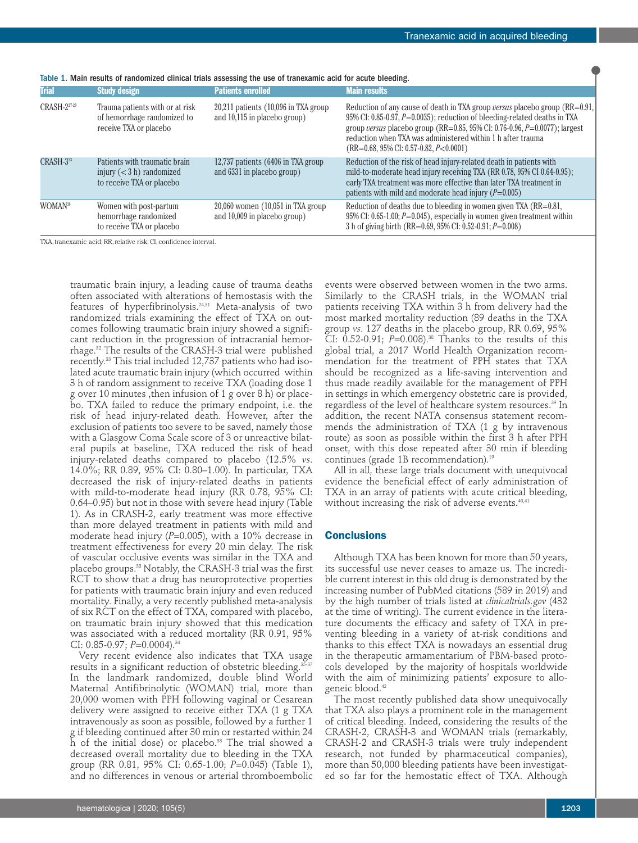| <b>Trial</b>          | <b>Study design</b>                                                                      | <b>Patients enrolled</b>                                                 | <b>Main results</b>                                                                                                                                                                                                                                                                                                                                            |
|-----------------------|------------------------------------------------------------------------------------------|--------------------------------------------------------------------------|----------------------------------------------------------------------------------------------------------------------------------------------------------------------------------------------------------------------------------------------------------------------------------------------------------------------------------------------------------------|
| CRASH-227-29          | Trauma patients with or at risk<br>of hemorrhage randomized to<br>receive TXA or placebo | $20,211$ patients $(10,096$ in TXA group<br>and 10,115 in placebo group) | Reduction of any cause of death in TXA group versus placebo group (RR=0.91,<br>95% CI: 0.85-0.97, P=0.0035); reduction of bleeding-related deaths in TXA<br>group versus placebo group (RR=0.85, 95% CI: 0.76-0.96, $P=0.0077$ ); largest<br>reduction when TXA was administered within 1 h after trauma<br>$(RR=0.68, 95\% \text{ CI: } 0.57-0.82, P<0.0001)$ |
| CRASH-3 <sup>33</sup> | Patients with traumatic brain                                                            | 12,737 patients (6406 in TXA group)                                      | Reduction of the risk of head injury-related death in patients with                                                                                                                                                                                                                                                                                            |
|                       | injury $(< 3 h)$ randomized                                                              | and 6331 in placebo group)                                               | mild-to-moderate head injury receiving TXA (RR 0.78, 95% CI 0.64-0.95);                                                                                                                                                                                                                                                                                        |
|                       | to receive TXA or placebo                                                                |                                                                          | early TXA treatment was more effective than later TXA treatment in<br>patients with mild and moderate head injury $(P=0.005)$                                                                                                                                                                                                                                  |
| WOMAN <sup>38</sup>   | Women with post-partum<br>hemorrhage randomized<br>to receive TXA or placebo             | $20,060$ women $(10,051)$ in TXA group<br>and 10,009 in placebo group)   | Reduction of deaths due to bleeding in women given TXA (RR=0.81,<br>95% CI: 0.65-1.00; $P=0.045$ ), especially in women given treatment within<br>3 h of giving birth (RR=0.69, 95% CI: 0.52-0.91; P=0.008)                                                                                                                                                    |

Table 1. Main results of randomized clinical trials assessing the use of tranexamic acid for acute bleeding.

TXA, tranexamic acid: RR, relative risk; CI, confidence interval.

traumatic brain injury, a leading cause of trauma deaths often associated with alterations of hemostasis with the features of hyperfibrinolysis. 24,31 Meta-analysis of two randomized trials examining the effect of TXA on outcomes following traumatic brain injury showed a significant reduction in the progression of intracranial hemorrhage. <sup>32</sup> The results of the CRASH-3 trial were published recently. <sup>33</sup> This trial included 12,737 patients who had isolated acute traumatic brain injury (which occurred within 3 h of random assignment to receive TXA (loading dose 1 g over 10 minutes ,then infusion of 1 g over 8 h) or placebo. TXA failed to reduce the primary endpoint, i.e. the risk of head injury-related death. However, after the exclusion of patients too severe to be saved, namely those with a Glasgow Coma Scale score of 3 or unreactive bilateral pupils at baseline, TXA reduced the risk of head injury-related deaths compared to placebo (12.5% *vs*. 14.0%; RR 0.89, 95% CI: 0.80–1.00). In particular, TXA decreased the risk of injury-related deaths in patients with mild-to-moderate head injury (RR 0.78, 95% CI: 0.64–0.95) but not in those with severe head injury (Table 1). As in CRASH-2, early treatment was more effective than more delayed treatment in patients with mild and moderate head injury (P=0.005), with a 10% decrease in treatment effectiveness for every 20 min delay. The risk of vascular occlusive events was similar in the TXA and placebo groups. <sup>33</sup> Notably, the CRASH-3 trial was the first RCT to show that a drug has neuroprotective properties for patients with traumatic brain injury and even reduced mortality. Finally, a very recently published meta-analysis of six RCT on the effect of TXA, compared with placebo, on traumatic brain injury showed that this medication was associated with a reduced mortality (RR 0.91, 95% CI: 0.85-0.97; *P*=0.0004). 34

Very recent evidence also indicates that TXA usage results in a significant reduction of obstetric bleeding. 35-37 In the landmark randomized, double blind World Maternal Antifibrinolytic (WOMAN) trial, more than 20,000 women with PPH following vaginal or Cesarean delivery were assigned to receive either TXA (1 g TXA intravenously as soon as possible, followed by a further 1 g if bleeding continued after 30 min or restarted within 24 h of the initial dose) or placebo. <sup>38</sup> The trial showed a decreased overall mortality due to bleeding in the TXA group (RR 0.81, 95% CI: 0.65-1.00; *P*=0.045) (Table 1), and no differences in venous or arterial thromboembolic

events were observed between women in the two arms. Similarly to the CRASH trials, in the WOMAN trial patients receiving TXA within 3 h from delivery had the most marked mortality reduction (89 deaths in the TXA group *vs*. 127 deaths in the placebo group, RR 0.69, 95% CI: 0.52-0.91; *P*=0.008). <sup>38</sup> Thanks to the results of this global trial, a 2017 World Health Organization recommendation for the treatment of PPH states that TXA should be recognized as a life-saving intervention and thus made readily available for the management of PPH in settings in which emergency obstetric care is provided, regardless of the level of healthcare system resources. <sup>39</sup> In addition, the recent NATA consensus statement recommends the administration of TXA (1 g by intravenous route) as soon as possible within the first 3 h after PPH onset, with this dose repeated after 30 min if bleeding continues (grade 1B recommendation). 19

All in all, these large trials document with unequivocal evidence the beneficial effect of early administration of TXA in an array of patients with acute critical bleeding, without increasing the risk of adverse events. 40,41

#### **Conclusions**

Although TXA has been known for more than 50 years, its successful use never ceases to amaze us. The incredible current interest in this old drug is demonstrated by the increasing number of PubMed citations (589 in 2019) and by the high number of trials listed at *clinicaltrials.gov* (432 at the time of writing). The current evidence in the literature documents the efficacy and safety of TXA in preventing bleeding in a variety of at-risk conditions and thanks to this effect TXA is nowadays an essential drug in the therapeutic armamentarium of PBM-based protocols developed by the majority of hospitals worldwide with the aim of minimizing patients' exposure to allogeneic blood. 42

The most recently published data show unequivocally that TXA also plays a prominent role in the management of critical bleeding. Indeed, considering the results of the CRASH-2, CRASH-3 and WOMAN trials (remarkably, CRASH-2 and CRASH-3 trials were truly independent research, not funded by pharmaceutical companies), more than 50,000 bleeding patients have been investigated so far for the hemostatic effect of TXA. Although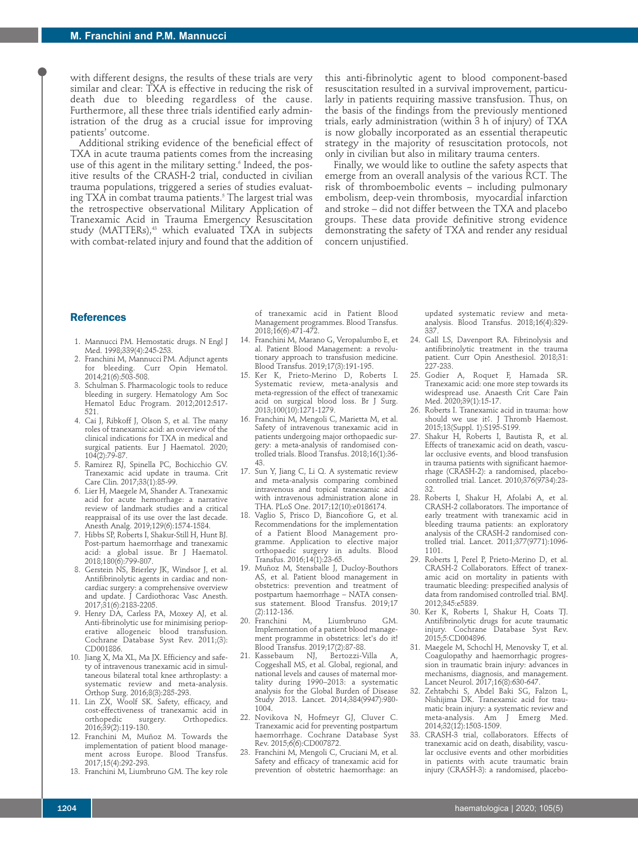with different designs, the results of these trials are very similar and clear: TXA is effective in reducing the risk of death due to bleeding regardless of the cause. Furthermore, all these three trials identified early administration of the drug as a crucial issue for improving patients' outcome.

Additional striking evidence of the beneficial effect of TXA in acute trauma patients comes from the increasing use of this agent in the military setting. <sup>6</sup> Indeed, the positive results of the CRASH-2 trial, conducted in civilian trauma populations, triggered a series of studies evaluating TXA in combat trauma patients. <sup>5</sup> The largest trial was the retrospective observational Military Application of Tranexamic Acid in Trauma Emergency Resuscitation study (MATTERs), <sup>43</sup> which evaluated TXA in subjects with combat-related injury and found that the addition of

this anti-fibrinolytic agent to blood component-based resuscitation resulted in a survival improvement, particularly in patients requiring massive transfusion. Thus, on the basis of the findings from the previously mentioned trials, early administration (within 3 h of injury) of TXA is now globally incorporated as an essential therapeutic strategy in the majority of resuscitation protocols, not only in civilian but also in military trauma centers.

Finally, we would like to outline the safety aspects that emerge from an overall analysis of the various RCT. The risk of thromboembolic events – including pulmonary embolism, deep-vein thrombosis, myocardial infarction and stroke – did not differ between the TXA and placebo groups. These data provide definitive strong evidence demonstrating the safety of TXA and render any residual concern unjustified.

## **References**

- 1. Mannucci PM. Hemostatic drugs. N Engl J Med. 1998;339(4):245-253.
- 2. Franchini M, Mannucci PM. Adjunct agents for bleeding. Curr Opin Hematol. 2014;21(6):503-508.
- 3. Schulman S. Pharmacologic tools to reduce bleeding in surgery. Hematology Am Soc Hematol Educ Program. 2012;2012:517- 521.
- 4. Cai J, Ribkoff J, Olson S, et al. The many roles of tranexamic acid: an overview of the clinical indications for TXA in medical and surgical patients. Eur J Haematol. 2020; 104(2):79-87.
- 5. Ramirez RJ, Spinella PC, Bochicchio GV. Tranexamic acid update in trauma. Crit Care Clin. 2017;33(1):85-99.
- 6. Lier H, Maegele M, Shander A. Tranexamic acid for acute hemorrhage: a narrative review of landmark studies and a critical reappraisal of its use over the last decade. Anesth Analg. 2019;129(6):1574-1584.
- 7. Hibbs SP, Roberts I, Shakur-Still H, Hunt BJ. Post-partum haemorrhage and tranexamic acid: a global issue. Br J Haematol. 2018;180(6):799-807.
- 8. Gerstein NS, Brierley JK, Windsor J, et al. Antifibrinolytic agents in cardiac and noncardiac surgery: a comprehensive overview and update. J Cardiothorac Vasc Anesth. 2017;31(6):2183-2205.
- 9. Henry DA, Carless PA, Moxey AJ, et al. Anti-fibrinolytic use for minimising perioperative allogeneic blood transfusion. Cochrane Database Syst Rev. 2011;(3): CD001886.
- 10. Jiang X, Ma XL, Ma JX. Efficiency and safety of intravenous tranexamic acid in simultaneous bilateral total knee arthroplasty: a systematic review and meta-analysis. Orthop Surg. 2016;8(3):285-293.
- 11. Lin ZX, Woolf SK. Safety, efficacy, and cost-effectiveness of tranexamic acid in Orthopedics. 2016;39(2):119-130.
- 12. Franchini M, Muñoz M. Towards the implementation of patient blood management across Europe. Blood Transfus. 2017;15(4):292-293.
- 13. Franchini M, Liumbruno GM. The key role

of tranexamic acid in Patient Blood Management programmes. Blood Transfus. 2018;16(6):471-472.

- 14. Franchini M, Marano G, Veropalumbo E, et al. Patient Blood Management: a revolutionary approach to transfusion medicine. Blood Transfus. 2019;17(3):191-195.
- 15. Ker K, Prieto-Merino D, Roberts I. Systematic review, meta-analysis and meta-regression of the effect of tranexamic acid on surgical blood loss. Br J Surg. 2013;100(10):1271-1279.
- 16. Franchini M, Mengoli C, Marietta M, et al. Safety of intravenous tranexamic acid in patients undergoing major orthopaedic surgery: a meta-analysis of randomised controlled trials. Blood Transfus. 2018;16(1):36- 43.
- 17. Sun Y, Jiang C, Li Q. A systematic review and meta-analysis comparing combined intravenous and topical tranexamic acid with intravenous administration alone in THA. PLoS One. 2017;12(10):e0186174.
- 18. Vaglio S, Prisco D, Biancofiore G, et al. Recommendations for the implementation of a Patient Blood Management programme. Application to elective major orthopaedic surgery in adults. Blood Transfus. 2016;14(1):23-65.
- 19. Muñoz M, Stensballe J, Ducloy-Bouthors AS, et al. Patient blood management in obstetrics: prevention and treatment of postpartum haemorrhage – NATA consensus statement. Blood Transfus. 2019;17 (2):112-136.
- 20. Franchini M, Liumbruno GM. Implementation of a patient blood management programme in obstetrics: let's do it! niem programaaria.<br>Blood Transfus. 2019;17(2):87-88.<br>Kassebaum – NJ, – Bertozzi-Villa
- 21. Kassebaum NJ, Bertozzi-Villa A, Coggeshall MS, et al. Global, regional, and national levels and causes of maternal mortality during 1990–2013: a systematic analysis for the Global Burden of Disease Study 2013. Lancet. 2014;384(9947):980- 1004.
- 22. Novikova N, Hofmeyr GJ, Cluver C. Tranexamic acid for preventing postpartum haemorrhage. Cochrane Database Syst Rev. 2015;6(6):CD007872.
- 23. Franchini M, Mengoli C, Cruciani M, et al. Safety and efficacy of tranexamic acid for prevention of obstetric haemorrhage: an

updated systematic review and metaanalysis. Blood Transfus. 2018;16(4):329- 337.

- 24. Gall LS, Davenport RA. Fibrinolysis and antifibrinolytic treatment in the trauma patient. Curr Opin Anesthesiol. 2018;31: 227-233.
- 25. Godier A, Roquet F, Hamada SR. Tranexamic acid: one more step towards its widespread use. Anaesth Crit Care Pain Med. 2020;39(1):15-17.
- 26. Roberts I. Tranexamic acid in trauma: how should we use it?. J Thromb Haemost. 2015;13(Suppl. 1):S195-S199.
- 27. Shakur H, Roberts I, Bautista R, et al. Effects of tranexamic acid on death, vascular occlusive events, and blood transfusion in trauma patients with significant haemorrhage (CRASH-2): a randomised, placebocontrolled trial. Lancet. 2010;376(9734):23- 32.
- 28. Roberts I, Shakur H, Afolabi A, et al. CRASH-2 collaborators. The importance of early treatment with tranexamic acid in bleeding trauma patients: an exploratory analysis of the CRASH-2 randomised controlled trial. Lancet. 2011;377(9771):1096- 1101.
- 29. Roberts I, Perel P, Prieto-Merino D, et al. CRASH-2 Collaborators. Effect of tranexamic acid on mortality in patients with traumatic bleeding: prespecified analysis of data from randomised controlled trial. BMJ. 2012;345:e5839.
- 30. Ker K, Roberts I, Shakur H, Coats TJ. Antifibrinolytic drugs for acute traumatic injury. Cochrane Database Syst Rev. 2015;5:CD004896.
- 31. Maegele M, Schochl H, Menovsky T, et al. Coagulopathy and haemorrhagic progression in traumatic brain injury: advances in mechanisms, diagnosis, and management. Lancet Neurol. 2017;16(8):630-647.
- 32. Zehtabchi S, Abdel Baki SG, Falzon L, Nishijima DK. Tranexamic acid for traumatic brain injury: a systematic review and meta-analysis. Am J Emerg Med. 2014;32(12):1503-1509.
- 33. CRASH-3 trial, collaborators. Effects of tranexamic acid on death, disability, vascular occlusive events and other morbidities in patients with acute traumatic brain injury (CRASH-3): a randomised, placebo-